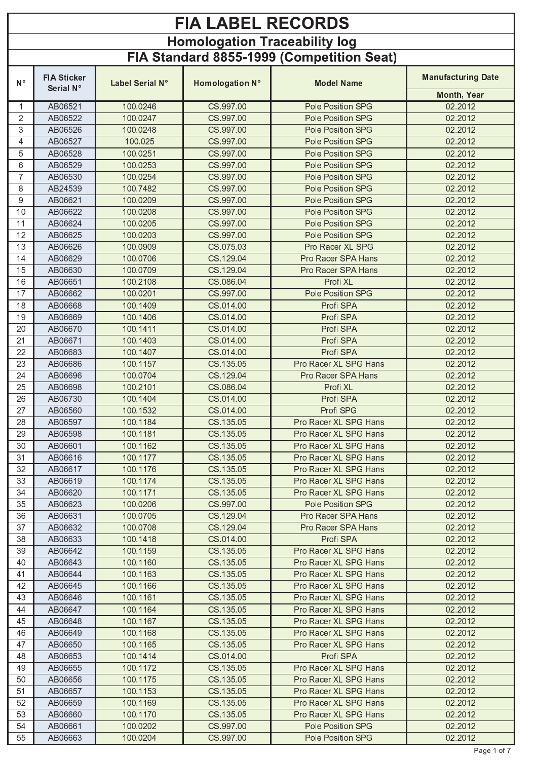## **FIA LABEL RECORDS** Homologation Traceability log<br>FIA Standard 8855-1999 (Competition Seat)

|                | <b>FIA Sticker</b> |                 |                 |                          | <b>Manufacturing Date</b> |
|----------------|--------------------|-----------------|-----------------|--------------------------|---------------------------|
| $N^{\circ}$    | Serial N°          | Label Serial N° | Homologation N° | <b>Model Name</b>        | Month, Year               |
| $\mathbf 1$    | AB06521            | 100.0246        | CS.997.00       | Pole Position SPG        | 02.2012                   |
| $\overline{2}$ | AB06522            | 100.0247        | CS.997.00       | Pole Position SPG        | 02.2012                   |
| 3              | AB06526            | 100.0248        | CS.997.00       | Pole Position SPG        | 02.2012                   |
| 4              | AB06527            | 100.025         | CS.997.00       | Pole Position SPG        | 02.2012                   |
| 5              | AB06528            | 100.0251        | CS.997.00       | Pole Position SPG        | 02.2012                   |
| 6              | AB06529            | 100.0253        | CS.997.00       | Pole Position SPG        | 02.2012                   |
| $\overline{7}$ | AB06530            | 100.0254        | CS 997.00       | <b>Pole Position SPG</b> | 02.2012                   |
| 8              | AB24539            | 100.7482        | CS.997.00       | Pole Position SPG        | 02.2012                   |
| 9              | AB06621            | 100.0209        | CS.997.00       | Pole Position SPG        | 02.2012                   |
| 10             | AB06622            | 100.0208        | CS.997.00       | Pole Position SPG        | 02.2012                   |
| 11             | AB06624            | 100.0205        | CS.997.00       | Pole Position SPG        | 02.2012                   |
| 12             | AB06625            | 100.0203        | CS.997.00       | Pole Position SPG        | 02.2012                   |
| 13             | AB06626            | 100.0909        | CS.075.03       | Pro Racer XL SPG         | 02.2012                   |
| 14             | AB06629            | 100.0706        | CS.129.04       | Pro Racer SPA Hans       | 02.2012                   |
| 15             | AB06630            | 100.0709        | CS.129.04       | Pro Racer SPA Hans       | 02.2012                   |
| 16             | AB06651            | 100.2108        | CS.086.04       | Profi XL                 | 02.2012                   |
| 17             | AB06662            | 100.0201        | CS.997.00       | Pole Position SPG        | 02.2012                   |
| 18             | AB06668            | 100.1409        | CS.014.00       | Profi SPA                | 02.2012                   |
| 19             | AB06669            | 100.1406        | CS.014.00       | Profi SPA                | 02.2012                   |
| 20             | AB06670            | 100.1411        | CS.014.00       | Profi SPA                | 02.2012                   |
| 21             | AB06671            | 100.1403        | CS.014.00       | Profi SPA                | 02.2012                   |
| 22             | AB06683            | 100.1407        | CS.014.00       | Profi SPA                | 02.2012                   |
| 23             | AB06686            | 100.1157        | CS.135.05       | Pro Racer XL SPG Hans    | 02.2012                   |
| 24             | AB06696            | 100.0704        | CS.129.04       | Pro Racer SPA Hans       | 02.2012                   |
| 25             | AB06698            | 100.2101        | CS.086.04       | Profi XL                 | 02.2012                   |
| 26             | AB06730            | 100.1404        | CS.014.00       | Profi SPA                | 02.2012                   |
| 27             | AB06560            | 100.1532        | CS.014.00       | Profi SPG                | 02.2012                   |
| 28             | AB06597            | 100.1184        | CS.135.05       | Pro Racer XL SPG Hans    | 02.2012                   |
| 29             | AB06598            | 100.1181        | CS.135.05       | Pro Racer XL SPG Hans    | 02.2012                   |
| 30             | AB06601            | 100.1162        | CS.135.05       | Pro Racer XL SPG Hans    | 02.2012                   |
| 31             | AB06616            | 100.1177        | CS.135.05       | Pro Racer XL SPG Hans    | 02.2012                   |
| 32             | AB06617            | 100.1176        | CS.135.05       | Pro Racer XL SPG Hans    | 02.2012                   |
| 33             | AB06619            | 100.1174        | CS.135.05       | Pro Racer XL SPG Hans    | 02.2012                   |
| 34             | AB06620            | 100.1171        | CS.135.05       | Pro Racer XL SPG Hans    | 02.2012                   |
| 35             | AB06623            | 100.0206        | CS.997.00       | <b>Pole Position SPG</b> | 02.2012                   |
| 36             | AB06631            | 100.0705        | CS.129.04       | Pro Racer SPA Hans       | 02.2012                   |
| 37             | AB06632            | 100.0708        | CS.129.04       | Pro Racer SPA Hans       | 02.2012                   |
| 38             | AB06633            | 100.1418        | CS.014.00       | Profi SPA                | 02.2012                   |
| 39             | AB06642            | 100.1159        | CS.135.05       | Pro Racer XL SPG Hans    | 02.2012                   |
| 40             | AB06643            | 100.1160        | CS.135.05       | Pro Racer XL SPG Hans    | 02.2012                   |
| 41             | AB06644            | 100.1163        | CS.135.05       | Pro Racer XL SPG Hans    | 02.2012                   |
| 42             | AB06645            | 100.1166        | CS.135.05       | Pro Racer XL SPG Hans    | 02.2012                   |
| 43             | AB06646            | 100.1161        | CS.135.05       | Pro Racer XL SPG Hans    | 02.2012                   |
| 44             | AB06647            | 100.1164        | CS.135.05       | Pro Racer XL SPG Hans    | 02.2012                   |
| 45             | AB06648            | 100.1167        | CS.135.05       | Pro Racer XL SPG Hans    | 02.2012                   |
| 46             | AB06649            | 100.1168        | CS.135.05       | Pro Racer XL SPG Hans    | 02.2012                   |
| 47             | AB06650            | 100.1165        | CS.135.05       | Pro Racer XL SPG Hans    | 02.2012                   |
| 48             | AB06653            | 100.1414        | CS.014.00       | Profi SPA                | 02.2012                   |
| 49             | AB06655            | 100.1172        | CS.135.05       | Pro Racer XL SPG Hans    | 02.2012                   |
| 50             | AB06656            | 100.1175        | CS.135.05       | Pro Racer XL SPG Hans    | 02.2012                   |
| 51             | AB06657            | 100.1153        | CS.135.05       | Pro Racer XL SPG Hans    | 02.2012                   |
| 52             | AB06659            | 100.1169        | CS.135.05       | Pro Racer XL SPG Hans    | 02.2012                   |
| 53             | AB06660            | 100.1170        | CS.135.05       | Pro Racer XL SPG Hans    | 02.2012                   |
| 54             | AB06661            | 100.0202        | CS.997.00       | <b>Pole Position SPG</b> | 02.2012                   |
| 55             | AB06663            | 100.0204        | CS.997.00       | Pole Position SPG        | 02.2012                   |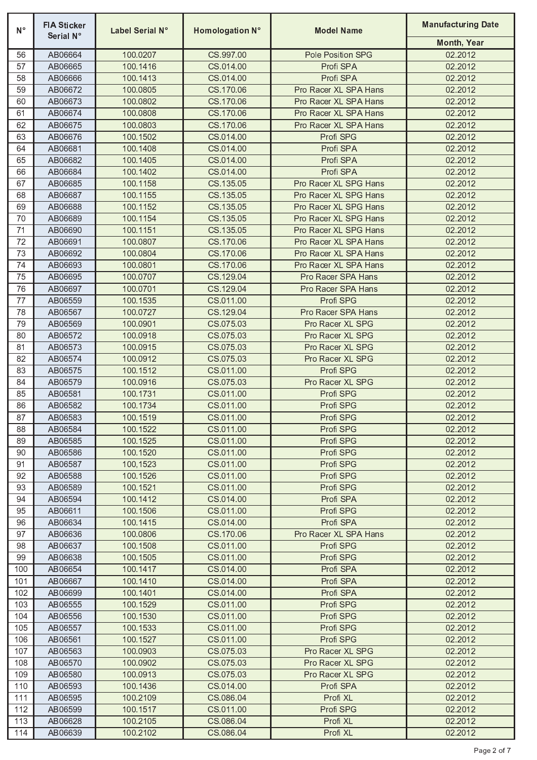| $N^{\circ}$ | <b>FIA Sticker</b><br>Serial N° | Label Serial N°      | Homologation N°        | <b>Model Name</b>               | <b>Manufacturing Date</b> |
|-------------|---------------------------------|----------------------|------------------------|---------------------------------|---------------------------|
|             |                                 |                      |                        |                                 | Month, Year               |
| 56          | AB06664                         | 100.0207             | CS.997.00              | Pole Position SPG               | 02.2012                   |
| 57          | AB06665                         | 100.1416             | CS.014.00              | Profi SPA                       | 02.2012                   |
| 58          | AB06666                         | 100.1413             | CS.014.00              | Profi SPA                       | 02.2012                   |
| 59          | AB06672                         | 100.0805             | CS.170.06              | Pro Racer XL SPA Hans           | 02.2012                   |
| 60          | AB06673                         | 100.0802             | CS.170.06              | Pro Racer XL SPA Hans           | 02.2012                   |
| 61          | AB06674                         | 100.0808             | CS.170.06              | Pro Racer XL SPA Hans           | 02.2012                   |
| 62          | AB06675                         | 100.0803             | CS.170.06              | Pro Racer XL SPA Hans           | 02.2012                   |
| 63          | AB06676                         | 100.1502             | CS.014.00              | Profi SPG                       | 02.2012                   |
| 64          | AB06681                         | 100.1408             | CS.014.00              | Profi SPA                       | 02.2012                   |
| 65          | AB06682                         | 100.1405             | CS.014.00              | Profi SPA                       | 02.2012                   |
| 66          | AB06684                         | 100.1402             | CS.014.00              | Profi SPA                       | 02.2012                   |
| 67          | AB06685                         | 100.1158             | CS.135.05              | Pro Racer XL SPG Hans           | 02.2012                   |
| 68          | AB06687                         | 100.1155             | CS.135.05              | Pro Racer XL SPG Hans           | 02.2012                   |
| 69          | AB06688                         | 100.1152             | CS.135.05              | Pro Racer XL SPG Hans           | 02.2012                   |
| 70          | AB06689                         | 100.1154             | CS.135.05              | Pro Racer XL SPG Hans           | 02.2012                   |
| 71          | AB06690                         | 100.1151             | CS.135.05              | Pro Racer XL SPG Hans           | 02.2012                   |
| 72          | AB06691<br>AB06692              | 100.0807             | CS.170.06              | Pro Racer XL SPA Hans           | 02.2012                   |
| 73          |                                 | 100.0804             | CS.170.06              | Pro Racer XL SPA Hans           | 02.2012                   |
| 74<br>75    | AB06693<br>AB06695              | 100.0801<br>100.0707 | CS.170.06              | Pro Racer XL SPA Hans           | 02.2012                   |
| 76          |                                 |                      | CS.129.04              | Pro Racer SPA Hans              | 02.2012                   |
| 77          | AB06697<br>AB06559              | 100.0701<br>100.1535 | CS.129.04<br>CS.011.00 | Pro Racer SPA Hans<br>Profi SPG | 02.2012                   |
| 78          | AB06567                         | 100.0727             | CS.129.04              | Pro Racer SPA Hans              | 02.2012<br>02.2012        |
| 79          | AB06569                         | 100.0901             | CS.075.03              | Pro Racer XL SPG                | 02.2012                   |
| 80          | AB06572                         | 100.0918             | CS.075.03              | Pro Racer XL SPG                | 02.2012                   |
| 81          | AB06573                         | 100.0915             | CS.075.03              | Pro Racer XL SPG                | 02.2012                   |
| 82          | AB06574                         | 100.0912             | CS.075.03              | Pro Racer XL SPG                | 02.2012                   |
| 83          | AB06575                         | 100.1512             | CS.011.00              | Profi SPG                       | 02.2012                   |
| 84          | AB06579                         | 100.0916             | CS.075.03              | Pro Racer XL SPG                | 02.2012                   |
| 85          | AB06581                         | 100.1731             | CS.011.00              | Profi SPG                       | 02.2012                   |
| 86          | AB06582                         | 100.1734             | CS.011.00              | Profi SPG                       | 02.2012                   |
| 87          | AB06583                         | 100.1519             | CS.011.00              | Profi SPG                       | 02.2012                   |
| 88          | AB06584                         | 100.1522             | CS.011.00              | Profi SPG                       | 02.2012                   |
| 89          | AB06585                         | 100.1525             | CS.011.00              | Profi SPG                       | 02.2012                   |
| 90          | AB06586                         | 100.1520             | CS.011.00              | Profi SPG                       | 02.2012                   |
| 91          | AB06587                         | 100,1523             | CS.011.00              | Profi SPG                       | 02.2012                   |
| 92          | AB06588                         | 100.1526             | CS.011.00              | Profi SPG                       | 02.2012                   |
| 93          | AB06589                         | 100.1521             | CS.011.00              | Profi SPG                       | 02.2012                   |
| 94          | AB06594                         | 100.1412             | CS.014.00              | Profi SPA                       | 02.2012                   |
| 95          | AB06611                         | 100.1506             | CS.011.00              | Profi SPG                       | 02.2012                   |
| 96          | AB06634                         | 100.1415             | CS.014.00              | Profi SPA                       | 02.2012                   |
| 97          | AB06636                         | 100.0806             | CS.170.06              | Pro Racer XL SPA Hans           | 02.2012                   |
| 98          | AB06637                         | 100.1508             | CS.011.00              | Profi SPG                       | 02.2012                   |
| 99          | AB06638                         | 100.1505             | CS.011.00              | Profi SPG                       | 02.2012                   |
| 100         | AB06654                         | 100.1417             | CS.014.00              | Profi SPA                       | 02.2012                   |
| 101         | AB06667                         | 100.1410             | CS.014.00              | Profi SPA                       | 02.2012                   |
| 102         | AB06699                         | 100.1401             | CS.014.00              | Profi SPA                       | 02.2012                   |
| 103         | AB06555                         | 100.1529             | CS.011.00              | Profi SPG                       | 02.2012                   |
| 104         | AB06556                         | 100.1530             | CS.011.00              | Profi SPG                       | 02.2012                   |
| 105         | AB06557                         | 100.1533             | CS.011.00              | Profi SPG                       | 02.2012                   |
| 106         | AB06561                         | 100.1527             | CS.011.00              | Profi SPG                       | 02.2012                   |
| 107         | AB06563                         | 100.0903             | CS.075.03              | Pro Racer XL SPG                | 02.2012                   |
| 108         | AB06570                         | 100.0902             | CS.075.03              | Pro Racer XL SPG                | 02.2012                   |
| 109         | AB06580                         | 100.0913             | CS.075.03              | Pro Racer XL SPG                | 02.2012                   |
| 110         | AB06593                         | 100.1436             | CS.014.00              | Profi SPA                       | 02.2012                   |
| 111         | AB06595                         | 100.2109             | CS.086.04              | Profi XL                        | 02.2012                   |
| 112         | AB06599                         | 100.1517             | CS.011.00              | Profi SPG                       | 02.2012                   |
| 113         | AB06628                         | 100.2105             | CS.086.04              | Profi XL                        | 02.2012<br>02.2012        |
| 114         | AB06639                         | 100.2102             | CS.086.04              | Profi XL                        |                           |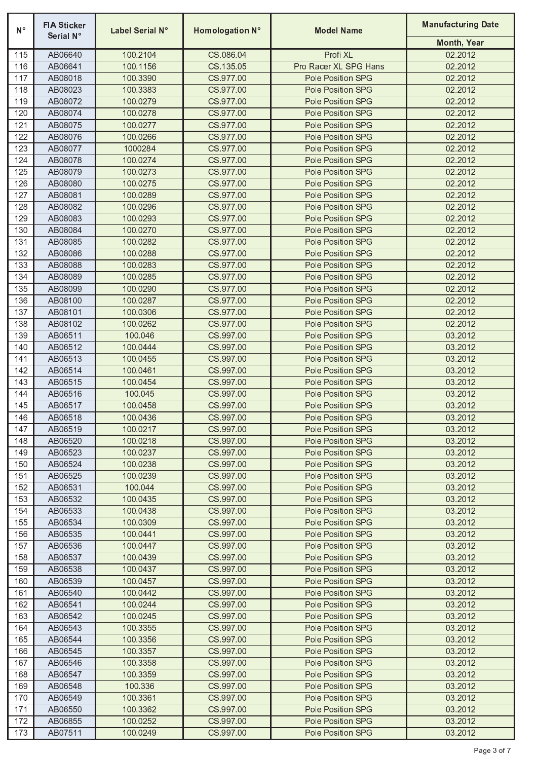| $N^{\circ}$ | <b>FIA Sticker</b><br>Serial N° | Label Serial N°      | Homologation N°        | <b>Model Name</b>                      | <b>Manufacturing Date</b> |
|-------------|---------------------------------|----------------------|------------------------|----------------------------------------|---------------------------|
|             |                                 |                      |                        |                                        | Month, Year               |
| 115         | AB06640                         | 100.2104             | CS.086.04              | Profi XL                               | 02.2012                   |
| 116         | AB06641                         | 100.1156             | CS.135.05              | Pro Racer XL SPG Hans                  | 02.2012                   |
| 117         | AB08018                         | 100.3390             | CS.977.00              | Pole Position SPG                      | 02.2012                   |
| 118         | AB08023                         | 100.3383             | CS.977.00              | Pole Position SPG                      | 02.2012                   |
| 119         | AB08072                         | 100.0279             | CS.977.00              | Pole Position SPG                      | 02.2012                   |
| 120         | AB08074                         | 100.0278             | CS.977.00              | Pole Position SPG                      | 02.2012                   |
| 121         | AB08075                         | 100.0277             | CS.977.00              | Pole Position SPG                      | 02.2012                   |
| 122         | AB08076                         | 100.0266             | CS.977.00              | Pole Position SPG                      | 02.2012                   |
| 123         | AB08077                         | 1000284              | CS.977.00              | Pole Position SPG                      | 02.2012                   |
| 124         | AB08078                         | 100.0274             | CS.977.00              | Pole Position SPG                      | 02.2012                   |
| 125         | AB08079                         | 100.0273             | CS.977.00              | Pole Position SPG                      | 02.2012                   |
| 126         | AB08080                         | 100.0275             | CS.977.00              | Pole Position SPG                      | 02.2012                   |
| 127         | AB08081                         | 100.0289             | CS.977.00              | Pole Position SPG                      | 02.2012                   |
| 128         | AB08082                         | 100.0296             | CS.977.00              | Pole Position SPG                      | 02.2012                   |
| 129         | AB08083                         | 100.0293             | CS.977.00              | Pole Position SPG                      | 02.2012                   |
| 130         | AB08084                         | 100.0270             | CS.977.00              | Pole Position SPG                      | 02.2012                   |
| 131         | AB08085                         | 100.0282             | CS.977.00              | Pole Position SPG                      | 02.2012                   |
| 132         | AB08086                         | 100.0288             | CS.977.00              | Pole Position SPG                      | 02.2012                   |
| 133         | AB08088                         | 100.0283             | CS.977.00              | Pole Position SPG                      | 02.2012                   |
| 134         | AB08089                         | 100.0285             | CS.977.00              | Pole Position SPG                      | 02.2012                   |
| 135         | AB08099                         | 100.0290             | CS.977.00              | Pole Position SPG                      | 02.2012                   |
| 136         | AB08100                         | 100.0287             | CS.977.00              | Pole Position SPG                      | 02.2012                   |
| 137<br>138  | AB08101<br>AB08102              | 100.0306<br>100.0262 | CS.977.00<br>CS.977.00 | Pole Position SPG<br>Pole Position SPG | 02.2012<br>02.2012        |
| 139         |                                 | 100.046              | CS.997.00              |                                        | 03.2012                   |
| 140         | AB06511<br>AB06512              | 100.0444             | CS.997.00              | Pole Position SPG<br>Pole Position SPG | 03.2012                   |
| 141         | AB06513                         | 100.0455             | CS.997.00              | Pole Position SPG                      | 03.2012                   |
| 142         | AB06514                         | 100.0461             | CS.997.00              | Pole Position SPG                      | 03.2012                   |
| 143         | AB06515                         | 100.0454             | CS.997.00              | Pole Position SPG                      | 03.2012                   |
| 144         | AB06516                         | 100.045              | CS.997.00              | Pole Position SPG                      | 03.2012                   |
| 145         | AB06517                         | 100.0458             | CS.997.00              | Pole Position SPG                      | 03.2012                   |
| 146         | AB06518                         | 100.0436             | CS.997.00              | Pole Position SPG                      | 03.2012                   |
| 147         | AB06519                         | 100.0217             | CS.997.00              | Pole Position SPG                      | 03.2012                   |
| 148         | AB06520                         | 100.0218             | CS.997.00              | Pole Position SPG                      | 03.2012                   |
| 149         | AB06523                         | 100.0237             | CS.997.00              | Pole Position SPG                      | 03.2012                   |
| 150         | AB06524                         | 100.0238             | CS.997.00              | Pole Position SPG                      | 03.2012                   |
| 151         | AB06525                         | 100.0239             | CS.997.00              | Pole Position SPG                      | 03.2012                   |
| 152         | AB06531                         | 100.044              | CS.997.00              | Pole Position SPG                      | 03.2012                   |
| 153         | AB06532                         | 100.0435             | CS.997.00              | Pole Position SPG                      | 03.2012                   |
| 154         | AB06533                         | 100.0438             | CS.997.00              | Pole Position SPG                      | 03.2012                   |
| 155         | AB06534                         | 100.0309             | CS.997.00              | Pole Position SPG                      | 03.2012                   |
| 156         | AB06535                         | 100.0441             | CS.997.00              | Pole Position SPG                      | 03.2012                   |
| 157         | AB06536                         | 100.0447             | CS.997.00              | Pole Position SPG                      | 03.2012                   |
| 158         | AB06537                         | 100.0439             | CS.997.00              | <b>Pole Position SPG</b>               | 03.2012                   |
| 159         | AB06538                         | 100.0437             | CS.997.00              | <b>Pole Position SPG</b>               | 03.2012                   |
| 160         | AB06539                         | 100.0457             | CS.997.00              | <b>Pole Position SPG</b>               | 03.2012                   |
| 161         | AB06540                         | 100.0442             | CS.997.00              | <b>Pole Position SPG</b>               | 03.2012                   |
| 162         | AB06541                         | 100.0244             | CS.997.00              | Pole Position SPG                      | 03.2012                   |
| 163         | AB06542                         | 100.0245             | CS.997.00              | Pole Position SPG                      | 03.2012                   |
| 164         | AB06543                         | 100.3355             | CS.997.00              | Pole Position SPG                      | 03.2012                   |
| 165         | AB06544                         | 100.3356             | CS.997.00              | Pole Position SPG                      | 03.2012                   |
| 166         | AB06545                         | 100.3357             | CS.997.00              | <b>Pole Position SPG</b>               | 03.2012                   |
| 167         | AB06546                         | 100.3358             | CS.997.00              | Pole Position SPG                      | 03.2012                   |
| 168         | AB06547                         | 100.3359             | CS.997.00              | Pole Position SPG                      | 03.2012                   |
| 169         | AB06548                         | 100.336              | CS.997.00              | Pole Position SPG                      | 03.2012                   |
| 170         | AB06549                         | 100.3361             | CS.997.00              | Pole Position SPG                      | 03.2012                   |
| 171         | AB06550                         | 100.3362             | CS.997.00              | <b>Pole Position SPG</b>               | 03.2012                   |
| 172         | AB06855                         | 100.0252             | CS.997.00              | Pole Position SPG                      | 03.2012                   |
| 173         | AB07511                         | 100.0249             | CS.997.00              | Pole Position SPG                      | 03.2012                   |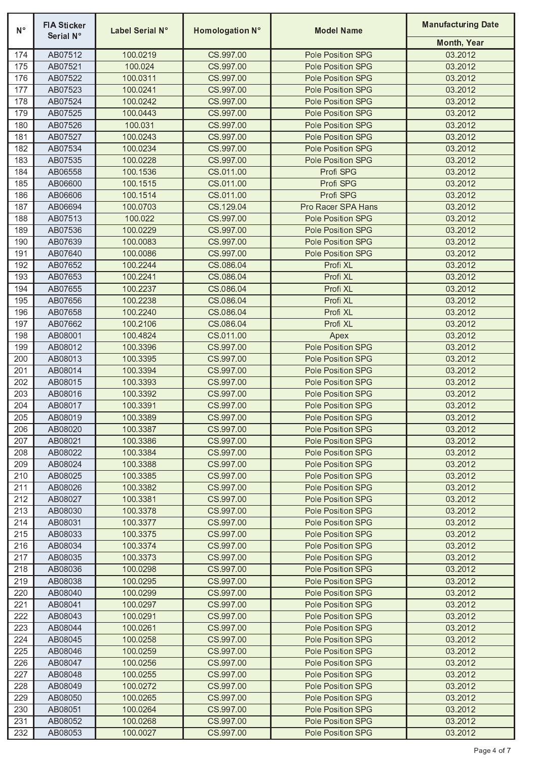| $N^{\circ}$ | <b>FIA Sticker</b><br>Serial N° | Label Serial N°      | Homologation N°        | <b>Model Name</b>                      | <b>Manufacturing Date</b> |
|-------------|---------------------------------|----------------------|------------------------|----------------------------------------|---------------------------|
|             |                                 |                      |                        |                                        | Month, Year               |
| 174         | AB07512                         | 100.0219             | CS.997.00              | Pole Position SPG                      | 03.2012                   |
| 175         | AB07521                         | 100.024              | CS.997.00              | Pole Position SPG                      | 03.2012                   |
| 176         | AB07522                         | 100.0311             | CS.997.00              | Pole Position SPG                      | 03.2012                   |
| 177         | AB07523                         | 100.0241             | CS.997.00              | Pole Position SPG                      | 03.2012                   |
| 178         | AB07524                         | 100.0242             | CS.997.00              | Pole Position SPG                      | 03.2012                   |
| 179         | AB07525                         | 100.0443             | CS.997.00              | Pole Position SPG<br>Pole Position SPG | 03.2012<br>03.2012        |
| 180         | AB07526<br>AB07527              | 100.031<br>100.0243  | CS.997.00<br>CS 997.00 | Pole Position SPG                      | 03.2012                   |
| 181<br>182  | AB07534                         | 100.0234             | CS.997.00              | Pole Position SPG                      | 03.2012                   |
| 183         | AB07535                         | 100.0228             | CS.997.00              | Pole Position SPG                      | 03.2012                   |
| 184         | AB06558                         | 100.1536             | CS.011.00              | Profi SPG                              | 03.2012                   |
| 185         | AB06600                         | 100.1515             | CS.011.00              | Profi SPG                              | 03.2012                   |
| 186         | AB06606                         | 100.1514             | CS.011.00              | Profi SPG                              | 03.2012                   |
| 187         | AB06694                         | 100.0703             | CS.129.04              | Pro Racer SPA Hans                     | 03.2012                   |
| 188         | AB07513                         | 100.022              | CS.997.00              | Pole Position SPG                      | 03.2012                   |
| 189         | AB07536                         | 100.0229             | CS.997.00              | Pole Position SPG                      | 03.2012                   |
| 190         | AB07639                         | 100.0083             | CS.997.00              | Pole Position SPG                      | 03.2012                   |
| 191         | AB07640                         | 100.0086             | CS.997.00              | Pole Position SPG                      | 03.2012                   |
| 192         | AB07652                         | 100.2244             | CS.086.04              | Profi XL                               | 03.2012                   |
| 193         | AB07653                         | 100.2241             | CS.086.04              | Profi XL                               | 03.2012                   |
| 194         | AB07655                         | 100.2237             | CS.086.04              | Profi XL                               | 03.2012                   |
| 195         | AB07656                         | 100.2238             | CS.086.04              | Profi XL                               | 03.2012                   |
| 196         | AB07658                         | 100.2240             | CS.086.04              | Profi XL                               | 03.2012                   |
| 197         | AB07662                         | 100.2106             | CS.086.04              | Profi XL                               | 03.2012                   |
| 198         | AB08001                         | 100.4824             | CS.011.00              | Apex                                   | 03.2012                   |
| 199         | AB08012                         | 100.3396             | CS.997.00              | Pole Position SPG                      | 03.2012                   |
| 200         | AB08013                         | 100.3395             | CS.997.00              | Pole Position SPG                      | 03.2012                   |
| 201         | AB08014                         | 100.3394             | CS.997.00              | Pole Position SPG                      | 03.2012                   |
| 202         | AB08015                         | 100.3393             | CS.997.00              | Pole Position SPG                      | 03.2012                   |
| 203         | AB08016                         | 100.3392             | CS.997.00              | Pole Position SPG                      | 03.2012                   |
| 204         | AB08017                         | 100.3391             | CS.997.00              | Pole Position SPG                      | 03.2012                   |
| 205         | AB08019                         | 100.3389             | CS.997.00              | Pole Position SPG                      | 03.2012                   |
| 206         | AB08020                         | 100.3387             | CS.997.00              | Pole Position SPG                      | 03.2012                   |
| 207         | AB08021                         | 100.3386             | CS.997.00              | Pole Position SPG                      | 03.2012                   |
| 208         | AB08022                         | 100.3384             | CS 997.00              | Pole Position SPG                      | 03.2012                   |
| 209         | AB08024                         | 100.3388             | CS.997.00              | Pole Position SPG                      | 03.2012                   |
| 210         | AB08025                         | 100.3385             | CS.997.00              | Pole Position SPG                      | 03.2012                   |
| 211         | AB08026                         | 100.3382             | CS.997.00              | Pole Position SPG                      | 03.2012                   |
| 212         | AB08027                         | 100.3381             | CS 997.00              | Pole Position SPG                      | 03.2012                   |
| 213         | AB08030                         | 100.3378             | CS.997.00              | Pole Position SPG                      | 03.2012                   |
| 214         | AB08031                         | 100.3377             | CS 997.00              | Pole Position SPG                      | 03.2012                   |
| 215         | AB08033                         | 100.3375             | CS.997.00              | Pole Position SPG                      | 03.2012                   |
| 216<br>217  | AB08034                         | 100.3374             | CS.997.00<br>CS.997.00 | Pole Position SPG                      | 03.2012<br>03.2012        |
|             | AB08035                         | 100.3373             | CS.997.00              | Pole Position SPG                      | 03.2012                   |
| 218<br>219  | AB08036<br>AB08038              | 100.0298<br>100.0295 | CS.997.00              | Pole Position SPG<br>Pole Position SPG | 03.2012                   |
| 220         | AB08040                         | 100.0299             | CS.997.00              | Pole Position SPG                      | 03.2012                   |
| 221         | AB08041                         | 100.0297             | CS.997.00              | Pole Position SPG                      | 03.2012                   |
| 222         | AB08043                         | 100.0291             | CS.997.00              | Pole Position SPG                      | 03.2012                   |
| 223         | AB08044                         | 100.0261             | CS 997.00              | Pole Position SPG                      | 03.2012                   |
| 224         | AB08045                         | 100.0258             | CS.997.00              | Pole Position SPG                      | 03.2012                   |
| 225         | AB08046                         | 100.0259             | CS.997.00              | Pole Position SPG                      | 03.2012                   |
| 226         | AB08047                         | 100.0256             | CS 997.00              | Pole Position SPG                      | 03.2012                   |
| 227         | AB08048                         | 100.0255             | CS.997.00              | Pole Position SPG                      | 03.2012                   |
| 228         | AB08049                         | 100.0272             | CS.997.00              | Pole Position SPG                      | 03.2012                   |
| 229         | AB08050                         | 100.0265             | CS.997.00              | Pole Position SPG                      | 03.2012                   |
| 230         | AB08051                         | 100.0264             | CS.997.00              | Pole Position SPG                      | 03.2012                   |
| 231         | AB08052                         | 100.0268             | CS.997.00              | Pole Position SPG                      | 03.2012                   |
| 232         | AB08053                         | 100.0027             | CS.997.00              | Pole Position SPG                      | 03.2012                   |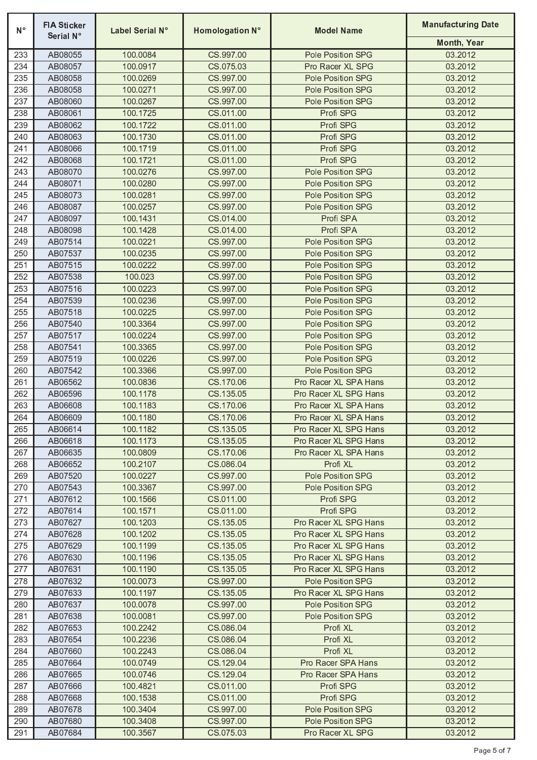| $N^{\circ}$ | <b>FIA Sticker</b><br>Serial N° | Label Serial N°      | Homologation N°        | <b>Model Name</b>             | <b>Manufacturing Date</b> |
|-------------|---------------------------------|----------------------|------------------------|-------------------------------|---------------------------|
|             |                                 |                      |                        |                               | Month, Year               |
| 233         | AB08055                         | 100.0084             | CS.997.00              | Pole Position SPG             | 03.2012                   |
| 234         | AB08057                         | 100.0917             | CS.075.03              | Pro Racer XL SPG              | 03.2012                   |
| 235         | AB08058                         | 100.0269             | CS.997.00              | Pole Position SPG             | 03.2012                   |
| 236         | AB08058                         | 100.0271             | CS.997.00              | Pole Position SPG             | 03.2012                   |
| 237         | AB08060                         | 100.0267             | CS.997.00              | Pole Position SPG             | 03.2012                   |
| 238         | AB08061                         | 100.1725             | CS.011.00              | Profi SPG                     | 03.2012                   |
| 239         | AB08062                         | 100.1722             | CS.011.00              | Profi SPG                     | 03.2012                   |
| 240         | AB08063                         | 100.1730             | CS.011.00              | Profi SPG                     | 03.2012                   |
| 241         | AB08066                         | 100.1719             | CS.011.00              | Profi SPG                     | 03.2012                   |
| 242         | AB08068                         | 100.1721             | CS.011.00              | Profi SPG                     | 03.2012                   |
| 243         | AB08070                         | 100.0276             | CS.997.00              | Pole Position SPG             | 03.2012                   |
| 244         | AB08071                         | 100.0280             | CS.997.00              | Pole Position SPG             | 03.2012                   |
| 245         | AB08073                         | 100.0281             | CS.997.00              | Pole Position SPG             | 03.2012                   |
| 246         | AB08087                         | 100.0257             | CS.997.00              | Pole Position SPG             | 03.2012                   |
| 247         | AB08097                         | 100.1431             | CS.014.00              | Profi SPA                     | 03.2012                   |
| 248         | AB08098                         | 100.1428             | CS.014.00              | Profi SPA                     | 03.2012                   |
| 249         | AB07514                         | 100.0221             | CS.997.00              | Pole Position SPG             | 03.2012                   |
| 250         | AB07537                         | 100.0235             | CS.997.00              | Pole Position SPG             | 03.2012                   |
| 251         | AB07515                         | 100.0222             | CS.997.00              | Pole Position SPG             | 03.2012                   |
| 252         | AB07538                         | 100.023              | CS.997.00              | <b>Pole Position SPG</b>      | 03.2012                   |
| 253         | AB07516                         | 100.0223             | CS.997.00              | Pole Position SPG             | 03.2012                   |
| 254         | AB07539                         | 100.0236             | CS.997.00              | Pole Position SPG             | 03.2012                   |
| 255         | AB07518                         | 100.0225             | CS.997.00              | <b>Pole Position SPG</b>      | 03.2012                   |
| 256         | AB07540                         | 100.3364             | CS.997.00              | Pole Position SPG             | 03.2012                   |
| 257         | AB07517                         | 100.0224             | CS.997.00              | Pole Position SPG             | 03.2012                   |
| 258         | AB07541                         | 100.3365             | CS.997.00              | Pole Position SPG             | 03.2012                   |
| 259         | AB07519                         | 100.0226             | CS.997.00              | Pole Position SPG             | 03.2012                   |
| 260         | AB07542                         | 100.3366             | CS.997.00              | Pole Position SPG             | 03.2012                   |
| 261         | AB06562                         | 100.0836             | CS.170.06              | Pro Racer XL SPA Hans         | 03.2012                   |
| 262         | AB06596                         | 100.1178             | CS.135.05              | Pro Racer XL SPG Hans         | 03.2012                   |
| 263         | AB06608                         | 100.1183             | CS.170.06              | Pro Racer XL SPA Hans         | 03.2012                   |
| 264         | AB06609                         | 100.1180             | CS.170.06              | Pro Racer XL SPA Hans         | 03.2012                   |
| 265         | AB06614                         | 100.1182             | CS.135.05              | Pro Racer XL SPG Hans         | 03.2012                   |
| 266         | AB06618                         | 100.1173             | CS.135.05              | Pro Racer XL SPG Hans         | 03.2012                   |
| 267         | AB06635                         | 100.0809             | CS.170.06<br>CS.086.04 | Pro Racer XL SPA Hans         | 03.2012<br>03.2012        |
| 268<br>269  | AB06652<br>AB07520              | 100.2107<br>100.0227 | CS.997.00              | Profi XL<br>Pole Position SPG | 03.2012                   |
|             | AB07543                         | 100.3367             | CS.997.00              | Pole Position SPG             | 03.2012                   |
| 270<br>271  | AB07612                         | 100.1566             | CS.011.00              | Profi SPG                     | 03.2012                   |
| 272         | AB07614                         | 100.1571             | CS.011.00              | Profi SPG                     | 03.2012                   |
| 273         | AB07627                         | 100.1203             | CS.135.05              | Pro Racer XL SPG Hans         | 03.2012                   |
| 274         | AB07628                         | 100.1202             | CS.135.05              | Pro Racer XL SPG Hans         | 03.2012                   |
| 275         | AB07629                         | 100.1199             | CS.135.05              | Pro Racer XL SPG Hans         | 03.2012                   |
| 276         | AB07630                         | 100.1196             | CS.135.05              | Pro Racer XL SPG Hans         | 03.2012                   |
| 277         | AB07631                         | 100.1190             | CS.135.05              | Pro Racer XL SPG Hans         | 03.2012                   |
| 278         | AB07632                         | 100.0073             | CS.997.00              | <b>Pole Position SPG</b>      | 03.2012                   |
| 279         | AB07633                         | 100.1197             | CS.135.05              | Pro Racer XL SPG Hans         | 03.2012                   |
| 280         | AB07637                         | 100.0078             | CS.997.00              | <b>Pole Position SPG</b>      | 03.2012                   |
| 281         | AB07638                         | 100.0081             | CS.997.00              | Pole Position SPG             | 03.2012                   |
| 282         | AB07653                         | 100.2242             | CS.086.04              | Profi XL                      | 03.2012                   |
| 283         | AB07654                         | 100.2236             | CS.086.04              | Profi XL                      | 03.2012                   |
| 284         | AB07660                         | 100.2243             | CS.086.04              | Profi XL                      | 03.2012                   |
| 285         | AB07664                         | 100.0749             | CS.129.04              | Pro Racer SPA Hans            | 03.2012                   |
| 286         | AB07665                         | 100.0746             | CS.129.04              | Pro Racer SPA Hans            | 03.2012                   |
| 287         | AB07666                         | 100.4821             | CS.011.00              | Profi SPG                     | 03.2012                   |
| 288         | AB07668                         | 100.1538             | CS.011.00              | Profi SPG                     | 03.2012                   |
| 289         | AB07678                         | 100.3404             | CS.997.00              | Pole Position SPG             | 03.2012                   |
| 290         | AB07680                         | 100.3408             | CS.997.00              | Pole Position SPG             | 03.2012                   |
| 291         | AB07684                         | 100.3567             | CS.075.03              | Pro Racer XL SPG              | 03.2012                   |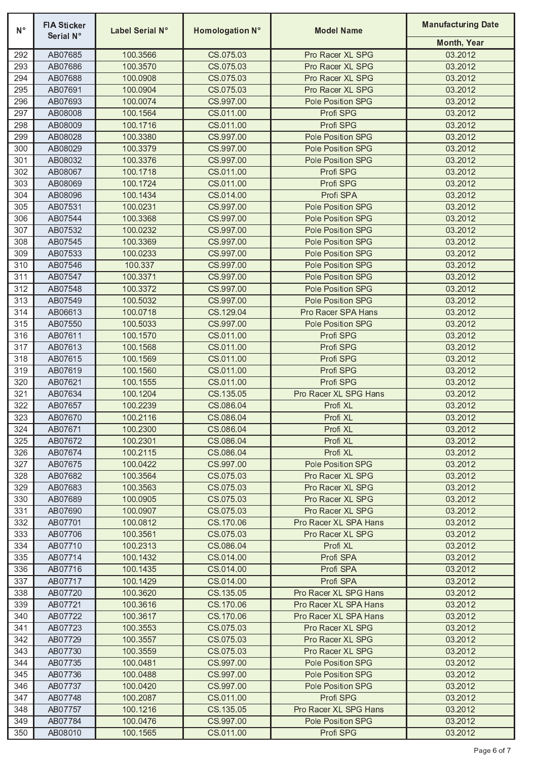| $N^{\circ}$ | <b>FIA Sticker</b><br>Serial N° | Label Serial N°      | Homologation N°        | <b>Model Name</b>                      | <b>Manufacturing Date</b> |
|-------------|---------------------------------|----------------------|------------------------|----------------------------------------|---------------------------|
|             |                                 |                      |                        |                                        | Month, Year               |
| 292         | AB07685                         | 100.3566             | CS.075.03              | Pro Racer XL SPG                       | 03.2012                   |
| 293         | AB07686                         | 100.3570             | CS.075.03              | Pro Racer XL SPG                       | 03.2012                   |
| 294         | AB07688                         | 100.0908             | CS.075.03              | Pro Racer XL SPG                       | 03.2012                   |
| 295         | AB07691                         | 100.0904             | CS.075.03              | Pro Racer XL SPG                       | 03.2012                   |
| 296         | AB07693                         | 100.0074             | CS.997.00              | Pole Position SPG                      | 03.2012                   |
| 297         | AB08008                         | 100.1564             | CS.011.00              | Profi SPG                              | 03.2012                   |
| 298         | AB08009                         | 100.1716             | CS.011.00              | Profi SPG                              | 03.2012                   |
| 299         | AB08028<br>AB08029              | 100.3380             | CS.997.00<br>CS.997.00 | Pole Position SPG                      | 03.2012                   |
| 300<br>301  | AB08032                         | 100.3379<br>100.3376 | CS.997.00              | Pole Position SPG<br>Pole Position SPG | 03.2012<br>03.2012        |
| 302         | AB08067                         | 100.1718             | CS.011.00              | Profi SPG                              | 03.2012                   |
| 303         | AB08069                         | 100.1724             | CS.011.00              | Profi SPG                              | 03.2012                   |
| 304         | AB08096                         | 100.1434             | CS.014.00              | Profi SPA                              | 03.2012                   |
| 305         | AB07531                         | 100.0231             | CS.997.00              | Pole Position SPG                      | 03.2012                   |
| 306         | AB07544                         | 100.3368             | CS.997.00              | Pole Position SPG                      | 03.2012                   |
| 307         | AB07532                         | 100.0232             | CS.997.00              | Pole Position SPG                      | 03.2012                   |
| 308         | AB07545                         | 100.3369             | CS.997.00              | Pole Position SPG                      | 03.2012                   |
| 309         | AB07533                         | 100.0233             | CS.997.00              | Pole Position SPG                      | 03.2012                   |
| 310         | AB07546                         | 100.337              | CS.997.00              | Pole Position SPG                      | 03.2012                   |
| 311         | AB07547                         | 100.3371             | CS.997.00              | Pole Position SPG                      | 03.2012                   |
| 312         | AB07548                         | 100.3372             | CS.997.00              | Pole Position SPG                      | 03.2012                   |
| 313         | AB07549                         | 100.5032             | CS.997.00              | Pole Position SPG                      | 03.2012                   |
| 314         | AB06613                         | 100.0718             | CS.129.04              | Pro Racer SPA Hans                     | 03.2012                   |
| 315         | AB07550                         | 100.5033             | CS.997.00              | Pole Position SPG                      | 03.2012                   |
| 316         | AB07611                         | 100.1570             | CS.011.00              | Profi SPG                              | 03.2012                   |
| 317         | AB07613                         | 100.1568             | CS.011.00              | Profi SPG                              | 03.2012                   |
| 318         | AB07615                         | 100.1569             | CS.011.00              | Profi SPG                              | 03.2012                   |
| 319         | AB07619                         | 100.1560             | CS.011.00              | Profi SPG                              | 03.2012                   |
| 320         | AB07621                         | 100.1555             | CS.011.00              | Profi SPG                              | 03.2012                   |
| 321         | AB07634                         | 100.1204             | CS.135.05              | Pro Racer XL SPG Hans                  | 03.2012                   |
| 322         | AB07657                         | 100.2239             | CS.086.04              | Profi XL                               | 03.2012                   |
| 323         | AB07670                         | 100.2116             | CS.086.04              | Profi XL                               | 03.2012                   |
| 324         | AB07671                         | 100.2300             | CS.086.04              | Profi XL                               | 03.2012                   |
| 325         | AB07672                         | 100.2301             | CS.086.04              | Profi XL                               | 03.2012                   |
| 326         | AB07674                         | 100.2115             | CS.086.04              | Profi XL                               | 03.2012                   |
| 327         | AB07675                         | 100.0422             | CS 997.00              | <b>Pole Position SPG</b>               | 03.2012                   |
| 328         | AB07682                         | 100.3564             | CS.075.03              | Pro Racer XL SPG                       | 03.2012                   |
| 329         | AB07683                         | 100.3563             | CS.075.03              | Pro Racer XL SPG                       | 03.2012                   |
| 330         | AB07689                         | 100.0905             | CS.075.03              | Pro Racer XL SPG                       | 03.2012                   |
| 331         | AB07690                         | 100.0907             | CS.075.03              | Pro Racer XL SPG                       | 03.2012                   |
| 332         | AB07701                         | 100.0812             | CS.170.06              | Pro Racer XL SPA Hans                  | 03.2012                   |
| 333         | AB07706                         | 100.3561             | CS.075.03              | Pro Racer XL SPG                       | 03.2012                   |
| 334<br>335  | AB07710<br>AB07714              | 100.2313<br>100.1432 | CS.086.04<br>CS.014.00 | Profi XL<br>Profi SPA                  | 03.2012<br>03.2012        |
| 336         | AB07716                         | 100.1435             | CS.014.00              | Profi SPA                              | 03.2012                   |
| 337         | AB07717                         | 100.1429             | CS.014.00              | Profi SPA                              | 03.2012                   |
| 338         | AB07720                         | 100.3620             | CS.135.05              | Pro Racer XL SPG Hans                  | 03.2012                   |
| 339         | AB07721                         | 100.3616             | CS.170.06              | Pro Racer XL SPA Hans                  | 03.2012                   |
| 340         | AB07722                         | 100.3617             | CS.170.06              | Pro Racer XL SPA Hans                  | 03.2012                   |
| 341         | AB07723                         | 100.3553             | CS.075.03              | Pro Racer XL SPG                       | 03.2012                   |
| 342         | AB07729                         | 100.3557             | CS.075.03              | Pro Racer XL SPG                       | 03.2012                   |
| 343         | AB07730                         | 100.3559             | CS.075.03              | Pro Racer XL SPG                       | 03.2012                   |
| 344         | AB07735                         | 100.0481             | CS.997.00              | Pole Position SPG                      | 03.2012                   |
| 345         | AB07736                         | 100.0488             | CS.997.00              | <b>Pole Position SPG</b>               | 03.2012                   |
| 346         | AB07737                         | 100.0420             | CS.997.00              | <b>Pole Position SPG</b>               | 03.2012                   |
| 347         | AB07748                         | 100.2087             | CS.011.00              | Profi SPG                              | 03.2012                   |
| 348         | AB07757                         | 100.1216             | CS.135.05              | Pro Racer XL SPG Hans                  | 03.2012                   |
| 349         | AB07784                         | 100.0476             | CS 997.00              | Pole Position SPG                      | 03.2012                   |
| 350         | AB08010                         | 100.1565             | CS.011.00              | Profi SPG                              | 03.2012                   |